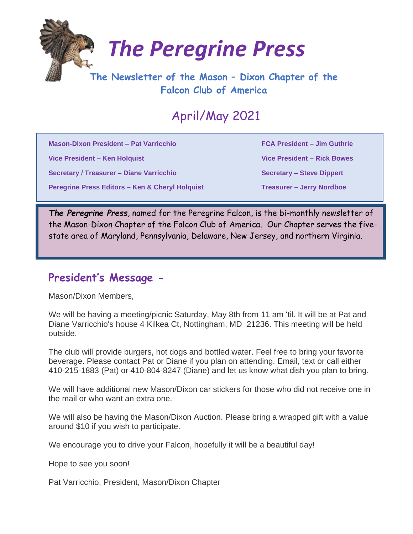

# *The Peregrine Press*

## **The Newsletter of the Mason – Dixon Chapter of the Falcon Club of America**

# April/May 2021

**Mason-Dixon President – Pat Varricchio FCA President – Jim Guthrie**

**Vice President – Ken Holquist Vice President – Rick Bowes**

**Secretary / Treasurer – Diane Varricchio Secretary – Steve Dippert Controllering Steve Dippert** 

**Peregrine Press Editors – Ken & Cheryl Holquist Treasurer – Jerry Nordboe** 

*The Peregrine Press*, named for the Peregrine Falcon, is the bi-monthly newsletter of the Mason-Dixon Chapter of the Falcon Club of America. Our Chapter serves the fivestate area of Maryland, Pennsylvania, Delaware, New Jersey, and northern Virginia.

### **President's Message -**

Mason/Dixon Members,

We will be having a meeting/picnic Saturday, May 8th from 11 am 'til. It will be at Pat and Diane Varricchio's house 4 Kilkea Ct, Nottingham, MD 21236. This meeting will be held outside.

The club will provide burgers, hot dogs and bottled water. Feel free to bring your favorite beverage. Please contact Pat or Diane if you plan on attending. Email, text or call either 410-215-1883 (Pat) or 410-804-8247 (Diane) and let us know what dish you plan to bring.

We will have additional new Mason/Dixon car stickers for those who did not receive one in the mail or who want an extra one.

We will also be having the Mason/Dixon Auction. Please bring a wrapped gift with a value around \$10 if you wish to participate.

We encourage you to drive your Falcon, hopefully it will be a beautiful day!

Hope to see you soon!

Pat Varricchio, President, Mason/Dixon Chapter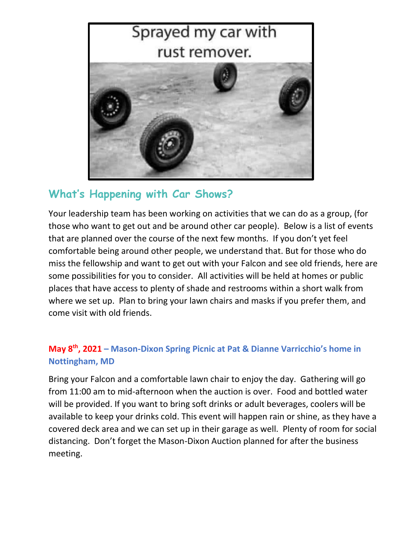

## **What's Happening with Car Shows?**

Your leadership team has been working on activities that we can do as a group, (for those who want to get out and be around other car people). Below is a list of events that are planned over the course of the next few months. If you don't yet feel comfortable being around other people, we understand that. But for those who do miss the fellowship and want to get out with your Falcon and see old friends, here are some possibilities for you to consider. All activities will be held at homes or public places that have access to plenty of shade and restrooms within a short walk from where we set up. Plan to bring your lawn chairs and masks if you prefer them, and come visit with old friends.

#### **May 8th, 2021 – Mason-Dixon Spring Picnic at Pat & Dianne Varricchio's home in Nottingham, MD**

Bring your Falcon and a comfortable lawn chair to enjoy the day. Gathering will go from 11:00 am to mid-afternoon when the auction is over. Food and bottled water will be provided. If you want to bring soft drinks or adult beverages, coolers will be available to keep your drinks cold. This event will happen rain or shine, as they have a covered deck area and we can set up in their garage as well. Plenty of room for social distancing. Don't forget the Mason-Dixon Auction planned for after the business meeting.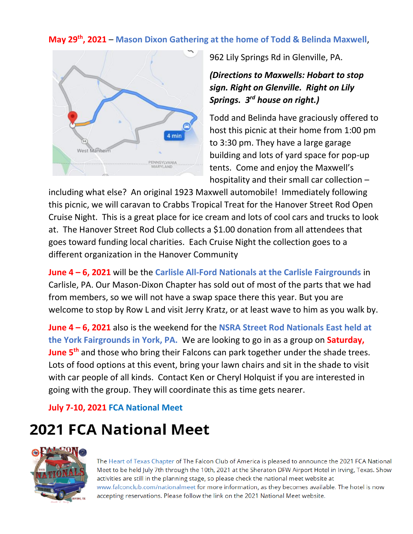#### **May 29th, 2021** – **Mason Dixon Gathering at the home of Todd & Belinda Maxwell**,



962 Lily Springs Rd in Glenville, PA.

*(Directions to Maxwells: Hobart to stop sign. Right on Glenville. Right on Lily Springs. 3rd house on right.)*

Todd and Belinda have graciously offered to host this picnic at their home from 1:00 pm to 3:30 pm. They have a large garage building and lots of yard space for pop-up tents. Come and enjoy the Maxwell's hospitality and their small car collection –

including what else? An original 1923 Maxwell automobile! Immediately following this picnic, we will caravan to Crabbs Tropical Treat for the Hanover Street Rod Open Cruise Night. This is a great place for ice cream and lots of cool cars and trucks to look at. The Hanover Street Rod Club collects a \$1.00 donation from all attendees that goes toward funding local charities. Each Cruise Night the collection goes to a different organization in the Hanover Community

**June 4 – 6, 2021** will be the **Carlisle All-Ford Nationals at the Carlisle Fairgrounds** in Carlisle, PA. Our Mason-Dixon Chapter has sold out of most of the parts that we had from members, so we will not have a swap space there this year. But you are welcome to stop by Row L and visit Jerry Kratz, or at least wave to him as you walk by.

**June 4 – 6, 2021** also is the weekend for the **NSRA Street Rod Nationals East held at the York Fairgrounds in York, PA.** We are looking to go in as a group on **Saturday, June 5th** and those who bring their Falcons can park together under the shade trees. Lots of food options at this event, bring your lawn chairs and sit in the shade to visit with car people of all kinds. Contact Ken or Cheryl Holquist if you are interested in going with the group. They will coordinate this as time gets nearer.

**July 7-10, 2021 FCA National Meet**

# **2021 FCA National Meet**



The Heart of Texas Chapter of The Falcon Club of America is pleased to announce the 2021 FCA National Meet to be held July 7th through the 10th, 2021 at the Sheraton DFW Airport Hotel in Irving, Texas. Show activities are still in the planning stage, so please check the national meet website at www.falconclub.com/nationalmeet for more information, as they becomes available. The hotel is now accepting reservations. Please follow the link on the 2021 National Meet website.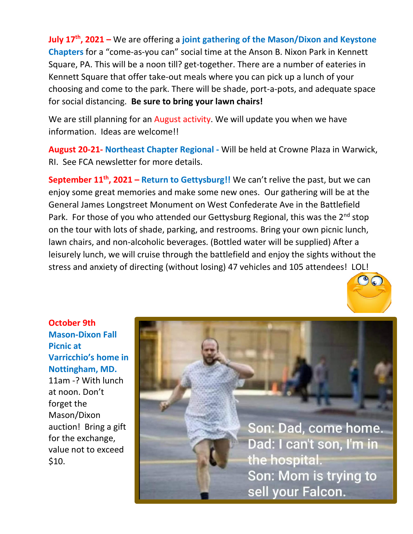**July 17th, 2021 –** We are offering a **joint gathering of the Mason/Dixon and Keystone Chapters** for a "come-as-you can" social time at the Anson B. Nixon Park in Kennett Square, PA. This will be a noon till? get-together. There are a number of eateries in Kennett Square that offer take-out meals where you can pick up a lunch of your choosing and come to the park. There will be shade, port-a-pots, and adequate space for social distancing. **Be sure to bring your lawn chairs!**

We are still planning for an August activity. We will update you when we have information. Ideas are welcome!!

**August 20-21- Northeast Chapter Regional -** Will be held at Crowne Plaza in Warwick, RI. See FCA newsletter for more details.

**September 11 th, 2021 – Return to Gettysburg!!** We can't relive the past, but we can enjoy some great memories and make some new ones. Our gathering will be at the General James Longstreet Monument on West Confederate Ave in the Battlefield Park. For those of you who attended our Gettysburg Regional, this was the 2<sup>nd</sup> stop on the tour with lots of shade, parking, and restrooms. Bring your own picnic lunch, lawn chairs, and non-alcoholic beverages. (Bottled water will be supplied) After a leisurely lunch, we will cruise through the battlefield and enjoy the sights without the stress and anxiety of directing (without losing) 47 vehicles and 105 attendees! LOL!



**October 9th Mason-Dixon Fall Picnic at Varricchio's home in Nottingham, MD.**  11am -? With lunch at noon. Don't forget the Mason/Dixon auction! Bring a gift for the exchange, value not to exceed \$10.